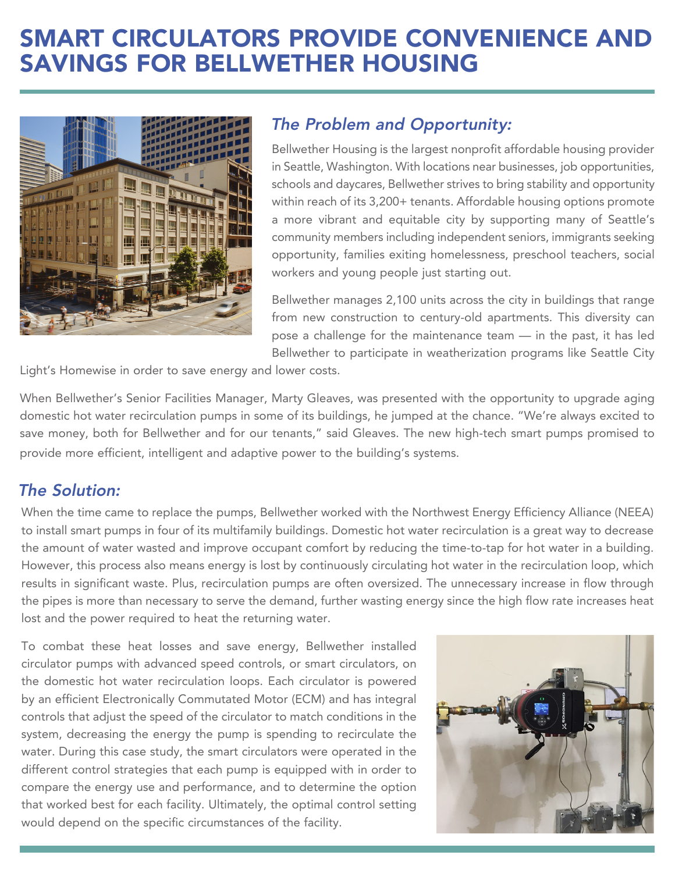# SMART CIRCULATORS PROVIDE CONVENIENCE AND SAVINGS FOR BELLWETHER HOUSING



## The Problem and Opportunity:

Bellwether Housing is the largest nonprofit affordable housing provider in Seattle, Washington. With locations near businesses, job opportunities, schools and daycares, Bellwether strives to bring stability and opportunity within reach of its 3,200+ tenants. Affordable housing options promote a more vibrant and equitable city by supporting many of Seattle's community members including independent seniors, immigrants seeking opportunity, families exiting homelessness, preschool teachers, social workers and young people just starting out.

Bellwether manages 2,100 units across the city in buildings that range from new construction to century-old apartments. This diversity can pose a challenge for the maintenance team — in the past, it has led Bellwether to participate in weatherization programs like Seattle City

Light's Homewise in order to save energy and lower costs.

When Bellwether's Senior Facilities Manager, Marty Gleaves, was presented with the opportunity to upgrade aging domestic hot water recirculation pumps in some of its buildings, he jumped at the chance. "We're always excited to save money, both for Bellwether and for our tenants," said Gleaves. The new high-tech smart pumps promised to provide more efficient, intelligent and adaptive power to the building's systems.

## The Solution:

When the time came to replace the pumps, Bellwether worked with the Northwest Energy Efficiency Alliance (NEEA) to install smart pumps in four of its multifamily buildings. Domestic hot water recirculation is a great way to decrease the amount of water wasted and improve occupant comfort by reducing the time-to-tap for hot water in a building. However, this process also means energy is lost by continuously circulating hot water in the recirculation loop, which results in significant waste. Plus, recirculation pumps are often oversized. The unnecessary increase in flow through the pipes is more than necessary to serve the demand, further wasting energy since the high flow rate increases heat lost and the power required to heat the returning water.

To combat these heat losses and save energy, Bellwether installed circulator pumps with advanced speed controls, or smart circulators, on the domestic hot water recirculation loops. Each circulator is powered by an efficient Electronically Commutated Motor (ECM) and has integral controls that adjust the speed of the circulator to match conditions in the system, decreasing the energy the pump is spending to recirculate the water. During this case study, the smart circulators were operated in the different control strategies that each pump is equipped with in order to compare the energy use and performance, and to determine the option that worked best for each facility. Ultimately, the optimal control setting would depend on the specific circumstances of the facility.